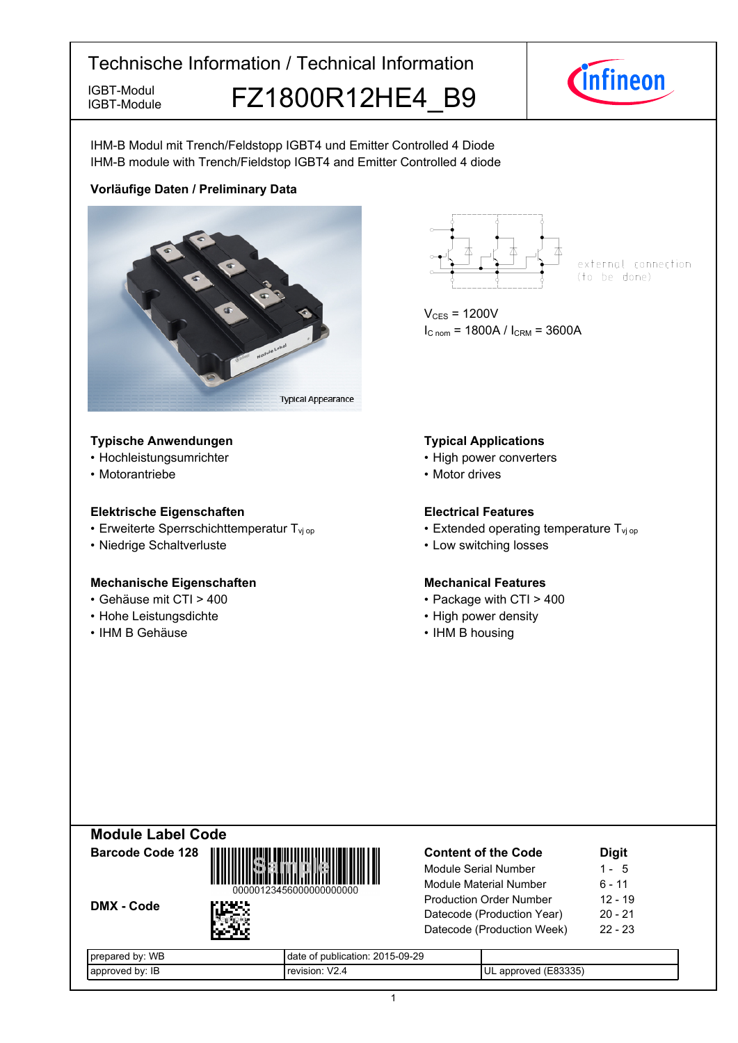IGBT-Module FZ1800R12HE4 B9



IHM-B Modul mit Trench/Feldstopp IGBT4 und Emitter Controlled 4 Diode IHM-B module with Trench/Fieldstop IGBT4 and Emitter Controlled 4 diode

## **Vorläufige-Daten-/-Preliminary-Data**



#### **Typische-Anwendungen Typical-**

- Hochleistungsumrichter
- Motorantriebe

IGBT-Module

#### **Elektrische Eigenschaften Electrical-**

- Erweiterte Sperrschichttemperatur T<sub>vj</sub>
- Niedrige-Schaltverluste Low-

#### **Mechanische Eigenschaften Mechanical-**

- Gehäuse mit CTI >
- Hohe Leistungsdichte High-
- IHM-B-Gehäuse IHM-



external connection (to be done)

 $V_{CES}$  = 1200V  $I_{C \text{ nom}} = 1800A / I_{CRM} = 3600A$ 

#### **Typical Applications**

- power converters
- Motor drives

#### **Electrical Features**

- op  **Extended operating temperature T**<sub>vj op</sub>
	- switching losses

# **Mechanical Features**

- 400 Package with CTI > 400
	- power density
	- B-housing

| <b>Module Label Code</b> |                                        |
|--------------------------|----------------------------------------|
| <b>Barcode Code 128</b>  | <b>Sample</b><br>000001234560000000000 |
| <b>DMX - Code</b>        | г нээ                                  |

| <b>Content of the Code</b>     | <b>Digit</b> |
|--------------------------------|--------------|
| Module Serial Number           | $1 - 5$      |
| Module Material Number         | $6 - 11$     |
| <b>Production Order Number</b> | $12 - 19$    |
| Datecode (Production Year)     | $20 - 21$    |
| Datecode (Production Week)     | $22 - 23$    |
|                                |              |

| <b>WB</b><br>hv.<br>eva<br>ı cu<br>. ال | 2015-09-29<br>publication:<br>date        |                                                  |
|-----------------------------------------|-------------------------------------------|--------------------------------------------------|
| hv.<br>ΙE<br>эΓ<br>70 Z                 | $\overline{\phantom{a}}$<br>$\sim$<br>--- | (TOQQH)<br>$\sim$ $\sim$<br>۰.<br>эr<br>aı.<br>. |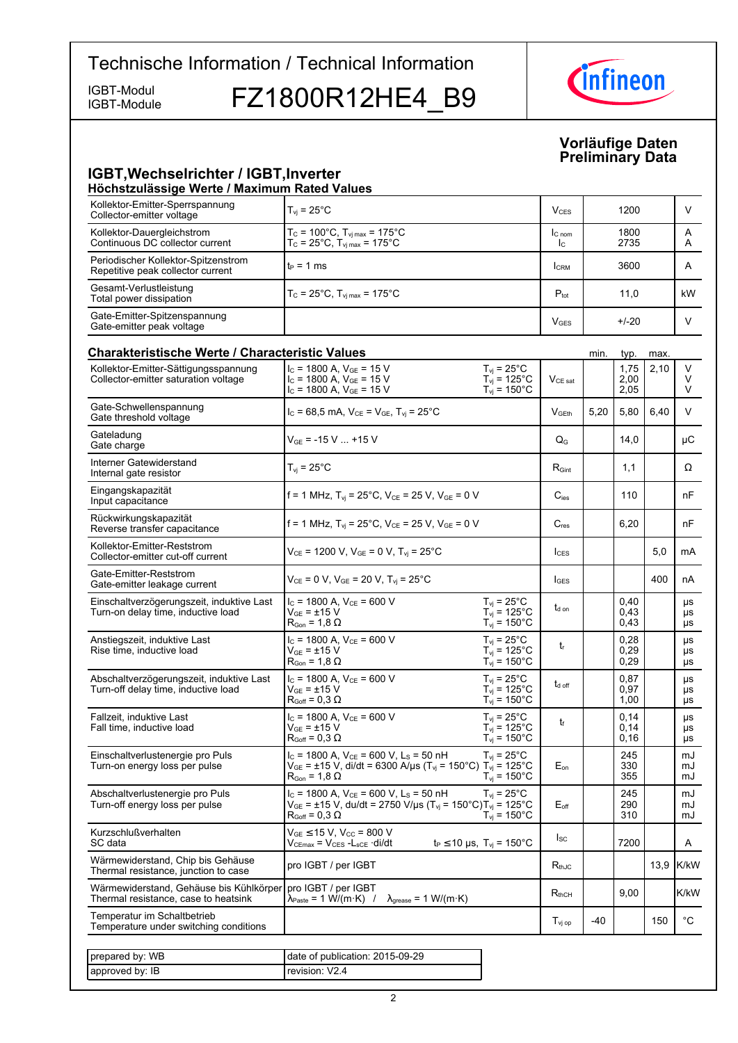IGBT-Module

IGBT-Module FZ1800R12HE4 B9



**Vorläufige-Daten Preliminary-Data**

#### **IGBT, Wechselrichter / IGBT, Inverter Höchstzulässige-Werte-/-Maximum-Rated-Values**

| Kollektor-Emitter-Sperrspannung<br>Collector-emitter voltage                    | $T_{\rm vj}$ = 25°C                                                                                                                                                                             |                                                                                | $V_{CES}$                                        |      | 1200                  |      | V              |
|---------------------------------------------------------------------------------|-------------------------------------------------------------------------------------------------------------------------------------------------------------------------------------------------|--------------------------------------------------------------------------------|--------------------------------------------------|------|-----------------------|------|----------------|
| Kollektor-Dauergleichstrom<br>Continuous DC collector current                   | $T_c = 100^{\circ}$ C, $T_{vj \, max} = 175^{\circ}$ C<br>$T_{\rm C}$ = 25°C, $T_{\rm vi \, max}$ = 175°C                                                                                       |                                                                                | $I_{C \text{ nom}}$<br>$\mathsf{I}_{\mathsf{C}}$ |      | 1800<br>2735          |      | A<br>A         |
| Periodischer Kollektor-Spitzenstrom<br>Repetitive peak collector current        | $t_P = 1$ ms                                                                                                                                                                                    |                                                                                | <b>I</b> CRM                                     |      | 3600                  |      | A              |
| Gesamt-Verlustleistung<br>Total power dissipation                               | $T_c$ = 25°C, $T_{\text{vi max}}$ = 175°C                                                                                                                                                       |                                                                                | $P_{\text{tot}}$                                 |      | 11,0                  |      | kW.            |
| Gate-Emitter-Spitzenspannung<br>Gate-emitter peak voltage                       |                                                                                                                                                                                                 |                                                                                | <b>V<sub>GES</sub></b>                           |      | $+/-20$               |      | V              |
| Charakteristische Werte / Characteristic Values                                 |                                                                                                                                                                                                 |                                                                                |                                                  | min. | typ.                  | max. |                |
| Kollektor-Emitter-Sättigungsspannung<br>Collector-emitter saturation voltage    | $I_C$ = 1800 A, $V_{GF}$ = 15 V<br>$I_c$ = 1800 A, $V_{GE}$ = 15 V<br>$I_c$ = 1800 A, $V_{GE}$ = 15 V                                                                                           | $T_{\rm vj}$ = 25°C<br>$T_{\text{vj}}$ = 125°C<br>$T_{\text{vj}}$ = 150°C      | $V_{CE\ sat}$                                    |      | 1,75<br>2,00<br>2,05  | 2,10 | V<br>V<br>V    |
| Gate-Schwellenspannung<br>Gate threshold voltage                                | $I_c = 68.5$ mA, $V_{CE} = V_{GE}$ , $T_{vi} = 25^{\circ}$ C                                                                                                                                    |                                                                                | V <sub>GEth</sub>                                | 5,20 | 5,80                  | 6,40 | $\vee$         |
| Gateladung<br>Gate charge                                                       | $V_{GE}$ = -15 V  +15 V                                                                                                                                                                         |                                                                                | $\mathsf{Q}_{\mathsf{G}}$                        |      | 14,0                  |      | μC             |
| Interner Gatewiderstand<br>Internal gate resistor                               | $T_{vi}$ = 25 $^{\circ}$ C                                                                                                                                                                      |                                                                                | $R_{\text{Gint}}$                                |      | 1,1                   |      | Ω              |
| Eingangskapazität<br>Input capacitance                                          | f = 1 MHz, $T_{vi}$ = 25°C, $V_{CF}$ = 25 V, $V_{GF}$ = 0 V                                                                                                                                     |                                                                                | $C_{\text{ies}}$                                 |      | 110                   |      | nF             |
| Rückwirkungskapazität<br>Reverse transfer capacitance                           | f = 1 MHz, $T_{vi}$ = 25°C, $V_{CE}$ = 25 V, $V_{GE}$ = 0 V                                                                                                                                     |                                                                                | $C_{res}$                                        |      | 6,20                  |      | nF             |
| Kollektor-Emitter-Reststrom<br>Collector-emitter cut-off current                | $V_{CE}$ = 1200 V, $V_{GE}$ = 0 V, $T_{vj}$ = 25°C                                                                                                                                              |                                                                                | $I_{\text{CES}}$                                 |      |                       | 5,0  | mA             |
| Gate-Emitter-Reststrom<br>Gate-emitter leakage current                          | $V_{CE} = 0 V$ , $V_{GE} = 20 V$ , $T_{vi} = 25^{\circ}C$                                                                                                                                       |                                                                                | $I_{\text{GES}}$                                 |      |                       | 400  | nA             |
| Einschaltverzögerungszeit, induktive Last<br>Turn-on delay time, inductive load | $I_c$ = 1800 A, $V_{CE}$ = 600 V<br>$V_{GE}$ = $\pm$ 15 V<br>$\mathsf{R}_{\mathsf{Gon}}$ = 1,8 $\Omega$                                                                                         | $T_{vi}$ = 25°C<br>$T_{vi}$ = 125°C<br>$T_{vi} = 150^{\circ}$ C                | $t_{d \text{ on}}$                               |      | 0,40<br>0,43<br>0,43  |      | μs<br>μs<br>μs |
| Anstiegszeit, induktive Last<br>Rise time, inductive load                       | $I_c$ = 1800 A, $V_{CE}$ = 600 V<br>$V_{GF}$ = $\pm$ 15 V<br>$R_{\text{Gon}}$ = 1,8 $\Omega$                                                                                                    | $T_{\rm vj}$ = 25°C<br>$T_{\rm vj}$ = 125°C<br>$T_{\text{vj}}$ = 150°C         | t                                                |      | 0,28<br>0,29<br>0,29  |      | μs<br>μs<br>μs |
| Abschaltverzögerungszeit, induktive Last<br>Turn-off delay time, inductive load | $I_c$ = 1800 A, $V_{CE}$ = 600 V<br>$V_{GE}$ = $\pm 15$ V<br>$R_{Goff} = 0.3 \Omega$                                                                                                            | $T_{\rm vj}$ = 25°C<br>$T_{\text{vj}}$ = 125°C<br>$T_{\text{vj}}$ = 150°C      | $t_{d \text{ off}}$                              |      | 0.87<br>0,97<br>1,00  |      | μs<br>μs<br>μs |
| Fallzeit, induktive Last<br>Fall time, inductive load                           | $I_c = 1800$ A, $V_{CE} = 600$ V<br>V <sub>GE</sub> = ±15 V<br>$R_{Goff} = 0.3 \Omega$                                                                                                          | $T_{vi}$ = 25 $^{\circ}$ C<br>$T_{vi}$ = 125°C<br>$T_{\rm vj} = 150^{\circ}$ C | t                                                |      | 0,14<br>0,14<br>0, 16 |      | μs<br>μs<br>μs |
| Einschaltverlustenergie pro Puls<br>Turn-on energy loss per pulse               | $I_c$ = 1800 A, $V_{CE}$ = 600 V, L <sub>s</sub> = 50 nH<br>$V_{GE}$ = ±15 V, di/dt = 6300 A/µs (T <sub>vj</sub> = 150°C) T <sub>vj</sub> = 125°C<br>$R_{Gon}$ = 1.8 $\Omega$                   | $T_{\rm vj}$ = 25°C<br>$T_{vi}$ = 150 $^{\circ}$ C                             | $E_{on}$                                         |      | 245<br>330<br>355     |      | mJ<br>mJ<br>mJ |
| Abschaltverlustenergie pro Puls<br>Turn-off energy loss per pulse               | $I_c$ = 1800 A, $V_{CE}$ = 600 V, L <sub>s</sub> = 50 nH<br>$V_{GE}$ = ±15 V, du/dt = 2750 V/µs (T <sub>vj</sub> = 150°C)T <sub>vj</sub> = 125°C<br>$\mathsf{R}_{\mathsf{Goff}}$ = 0.3 $\Omega$ | $T_{\rm vj}$ = 25°C<br>$T_{vi}$ = 150 $^{\circ}$ C                             | $E_{\text{off}}$                                 |      | 245<br>290<br>310     |      | mJ<br>mJ<br>mJ |
| Kurzschlußverhalten<br>SC data                                                  | $V_{GE}$ $\leq$ 15 V, V <sub>CC</sub> = 800 V<br>$t_P \le 10 \text{ }\mu\text{s}, T_{vi} = 150^{\circ}\text{C}$<br>Vc∈ <sub>max</sub> = Vc∈s -L <sub>sCE</sub> ·di/dt                           |                                                                                | $I_{SC}$                                         |      | 7200                  |      | A              |
| Wärmewiderstand, Chip bis Gehäuse<br>Thermal resistance, junction to case       | pro IGBT / per IGBT                                                                                                                                                                             |                                                                                | $R_{thJC}$                                       |      |                       | 13,9 | K/kW           |
| Wärmewiderstand, Gehäuse bis Kühlkörper<br>Thermal resistance, case to heatsink | pro IGBT / per IGBT<br>$\lambda_{\text{Paste}} = 1 \text{ W/(m·K)}$ /<br>$\lambda_{\text{grease}} = 1 \text{ W/(m·K)}$                                                                          |                                                                                | $R_{thCH}$                                       |      | 9,00                  |      | K/kW           |
| Temperatur im Schaltbetrieb<br>Temperature under switching conditions           |                                                                                                                                                                                                 |                                                                                | $T_{\text{vj op}}$                               | -40  |                       | 150  | °C             |
|                                                                                 |                                                                                                                                                                                                 |                                                                                |                                                  |      |                       |      |                |
| prepared by: WB                                                                 | date of publication: 2015-09-29                                                                                                                                                                 |                                                                                |                                                  |      |                       |      |                |
| approved by: IB                                                                 | revision: V2.4                                                                                                                                                                                  |                                                                                |                                                  |      |                       |      |                |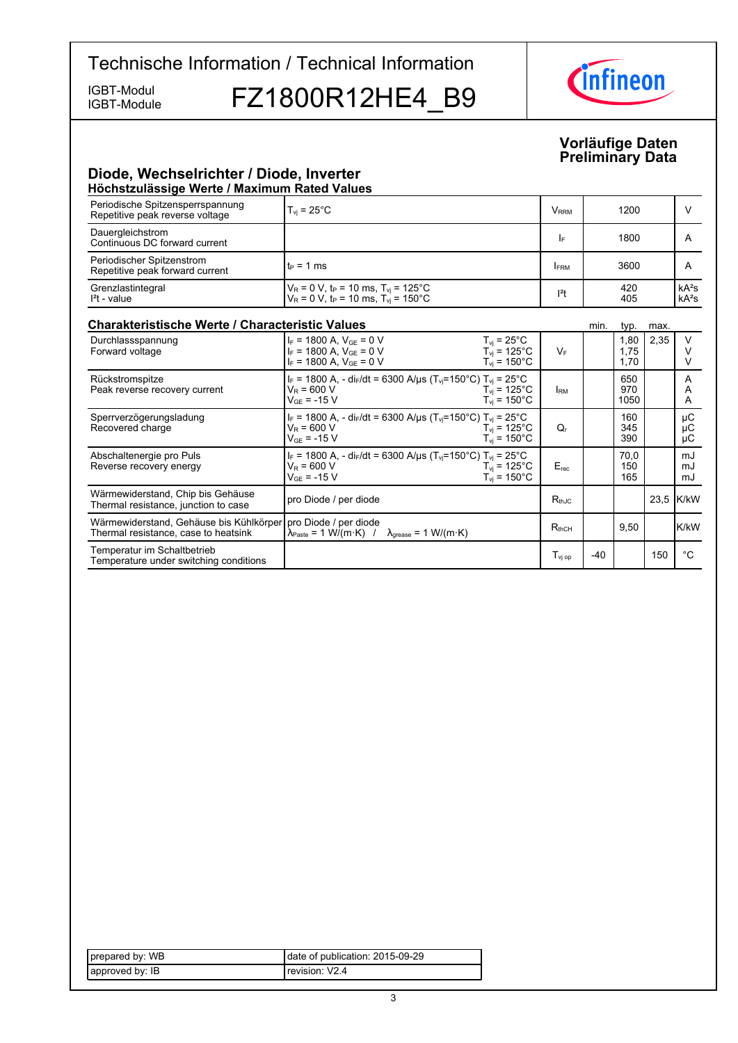IGBT-Module

IGBT-Module FZ1800R12HE4 B9



#### **Vorläufige-Daten Preliminary-Data**

### **Diode,-Wechselrichter-/-Diode,-Inverter Höchstzulässige-Werte-/-Maximum-Rated-Values**

| поспэшагазыда ттагаа талппант кааса тагааз                                      |                                                                                                                                                                                           |                         |       |                      |      |                    |
|---------------------------------------------------------------------------------|-------------------------------------------------------------------------------------------------------------------------------------------------------------------------------------------|-------------------------|-------|----------------------|------|--------------------|
| Periodische Spitzensperrspannung<br>Repetitive peak reverse voltage             | $T_{vi}$ = 25 $^{\circ}$ C                                                                                                                                                                | <b>V</b> <sub>RRM</sub> |       | 1200                 |      | V                  |
| Dauergleichstrom<br>Continuous DC forward current                               |                                                                                                                                                                                           | I۴                      |       | 1800                 |      | A                  |
| Periodischer Spitzenstrom<br>Repetitive peak forward current                    | $t_P = 1$ ms                                                                                                                                                                              | FRM                     |       | 3600                 |      | A                  |
| Grenzlastintegral<br>$I2t - value$                                              | $V_R = 0$ V, t <sub>P</sub> = 10 ms, T <sub>vi</sub> = 125 <sup>°</sup> C<br>$V_R = 0$ V, t <sub>P</sub> = 10 ms, T <sub>vj</sub> = 150°C                                                 | $ ^{2}t$                |       | 420<br>405           |      | $kA^2s$<br>$kA^2s$ |
| <b>Charakteristische Werte / Characteristic Values</b>                          |                                                                                                                                                                                           |                         | min.  | typ.                 | max. |                    |
| Durchlassspannung<br>Forward voltage                                            | $I_F = 1800$ A, $V_{GF} = 0$ V<br>$T_{vi}$ = 25 $^{\circ}$ C<br>$I_F = 1800$ A, $V_{GF} = 0$ V<br>$T_{vi}$ = 125°C<br>$I_F = 1800$ A, $V_{GE} = 0$ V<br>$T_{vi}$ = 150 $^{\circ}$ C       | $V_F$                   |       | 1.80<br>1,75<br>1,70 | 2,35 | V<br>$\vee$<br>V   |
| Rückstromspitze<br>Peak reverse recovery current                                | $I_F$ = 1800 A, - di <sub>F</sub> /dt = 6300 A/µs (T <sub>vj</sub> =150°C) T <sub>vj</sub> = 25°C<br>$V_R = 600 V$<br>$T_{vi}$ = 125°C<br>$T_{vi}$ = 150 $^{\circ}$ C<br>$V_{GF}$ = -15 V | <b>IRM</b>              |       | 650<br>970<br>1050   |      | A<br>A<br>A        |
| Sperrverzögerungsladung<br>Recovered charge                                     | $I_F$ = 1800 A, - di $_F$ /dt = 6300 A/µs (T <sub>vj</sub> =150°C) T <sub>vj</sub> = 25°C<br>$V_R = 600 V$<br>$T_{\rm vi}$ = 125°C<br>$T_{vi}$ = 150 $^{\circ}$ C<br>$V_{GF}$ = -15 V     | Q,                      |       | 160<br>345<br>390    |      | μC<br>μC<br>μC     |
| Abschaltenergie pro Puls<br>Reverse recovery energy                             | $I_F$ = 1800 A, - di <sub>F</sub> /dt = 6300 A/µs (T <sub>vi</sub> =150°C) T <sub>vi</sub> = 25°C<br>$V_R = 600 V$<br>$T_{vi}$ = 125°C<br>$T_{vi}$ = 150 $^{\circ}$ C<br>$V_{GF}$ = -15 V | $E_{rec}$               |       | 70.0<br>150<br>165   |      | mJ<br>mJ<br>mJ     |
| Wärmewiderstand, Chip bis Gehäuse<br>Thermal resistance, junction to case       | pro Diode / per diode                                                                                                                                                                     | $R_{th,IC}$             |       |                      |      | 23,5 K/kW          |
| Wärmewiderstand, Gehäuse bis Kühlkörper<br>Thermal resistance, case to heatsink | pro Diode / per diode<br>$\lambda_{\text{Paste}} = 1 \text{ W/(m} \cdot \text{K)}$ /<br>$\lambda_{\text{grease}} = 1 \text{ W/(m·K)}$                                                     | $R_{thCH}$              |       | 9,50                 |      | <b>K/kW</b>        |
| Temperatur im Schaltbetrieb<br>Temperature under switching conditions           |                                                                                                                                                                                           | $T_{\rm vj~op}$         | $-40$ |                      | 150  | $^{\circ}C$        |

| prepared by: WB | date of publication: 2015-09-29 |
|-----------------|---------------------------------|
| approved by: IB | Trevision: V2.4                 |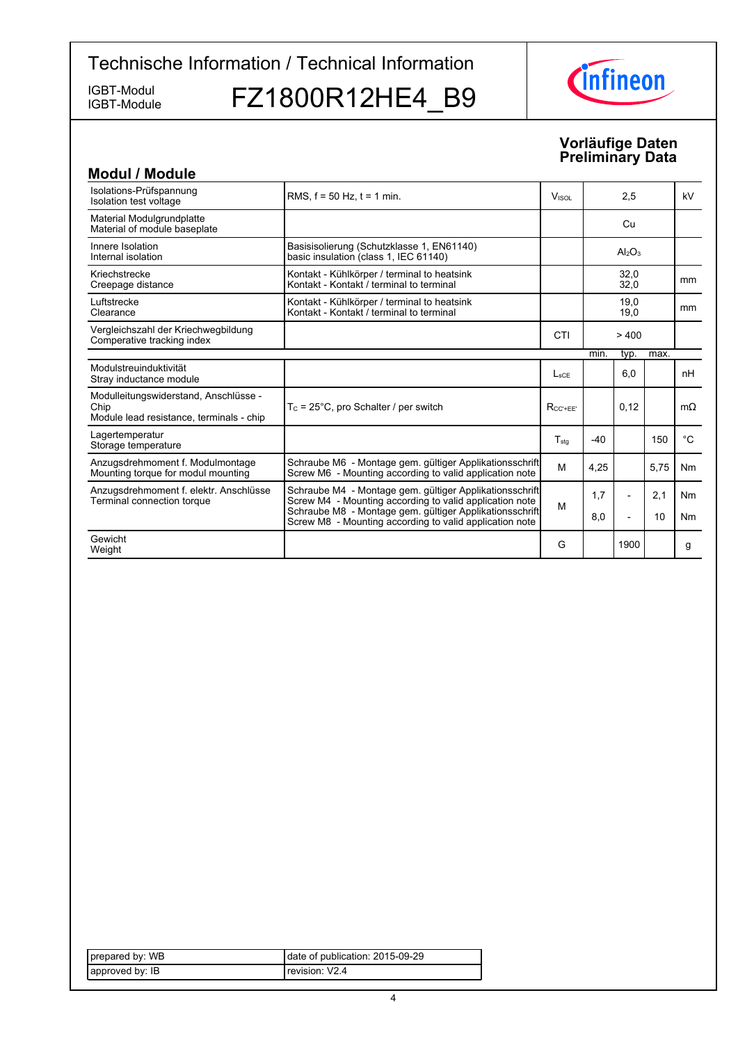IGBT-Module

IGBT-Module FZ1800R12HE4\_B9



### **Vorläufige-Daten Preliminary-Data**

| <b>Modul / Module</b>                                                                     |                                                                                                                    |                          |       |                          |      |                |
|-------------------------------------------------------------------------------------------|--------------------------------------------------------------------------------------------------------------------|--------------------------|-------|--------------------------|------|----------------|
| Isolations-Prüfspannung<br>Isolation test voltage                                         | RMS. $f = 50$ Hz. $t = 1$ min.                                                                                     | <b>V</b> <sub>ISOL</sub> | 2,5   |                          |      | kV             |
| Material Modulgrundplatte<br>Material of module baseplate                                 |                                                                                                                    |                          |       | Cu                       |      |                |
| Innere Isolation<br>Internal isolation                                                    | Basisisolierung (Schutzklasse 1, EN61140)<br>basic insulation (class 1, IEC 61140)                                 |                          |       | $Al_2O_3$                |      |                |
| Kriechstrecke<br>Creepage distance                                                        | Kontakt - Kühlkörper / terminal to heatsink<br>Kontakt - Kontakt / terminal to terminal                            |                          |       | 32,0<br>32,0             |      | mm             |
| Luftstrecke<br>Clearance                                                                  | Kontakt - Kühlkörper / terminal to heatsink<br>Kontakt - Kontakt / terminal to terminal                            |                          |       | 19,0<br>19,0             |      | mm             |
| Vergleichszahl der Kriechwegbildung<br>Comperative tracking index                         |                                                                                                                    | CTI                      |       | >400                     |      |                |
|                                                                                           |                                                                                                                    |                          | min.  | typ.                     | max. |                |
| Modulstreuinduktivität<br>Stray inductance module                                         |                                                                                                                    | $L_{\rm sCF}$            |       | 6,0                      |      | nH             |
| Modulleitungswiderstand, Anschlüsse -<br>Chip<br>Module lead resistance, terminals - chip | $T_c$ = 25°C, pro Schalter / per switch                                                                            | $R_{CC' + FF'}$          |       | 0.12                     |      | $m\Omega$      |
| Lagertemperatur<br>Storage temperature                                                    |                                                                                                                    | $T_{sta}$                | $-40$ |                          | 150  | $^{\circ}C$    |
| Anzugsdrehmoment f. Modulmontage<br>Mounting torque for modul mounting                    | Schraube M6 - Montage gem. gültiger Applikationsschrift<br>Screw M6 - Mounting according to valid application note | M                        | 4,25  |                          | 5,75 | <b>Nm</b>      |
| Anzugsdrehmoment f. elektr. Anschlüsse<br>Terminal connection torque                      | Schraube M4 - Montage gem. gültiger Applikationsschrift<br>Screw M4 - Mounting according to valid application note | M                        | 1,7   | $\overline{\phantom{a}}$ | 2,1  | N <sub>m</sub> |
|                                                                                           | Schraube M8 - Montage gem. gültiger Applikationsschrift<br>Screw M8 - Mounting according to valid application note |                          | 8,0   | $\overline{a}$           | 10   | N <sub>m</sub> |
| Gewicht<br>Weight                                                                         |                                                                                                                    | G                        |       | 1900                     |      | g              |

| prepared by: WB | date of publication: 2015-09-29 |
|-----------------|---------------------------------|
| approved by: IB | Trevision: V2.4                 |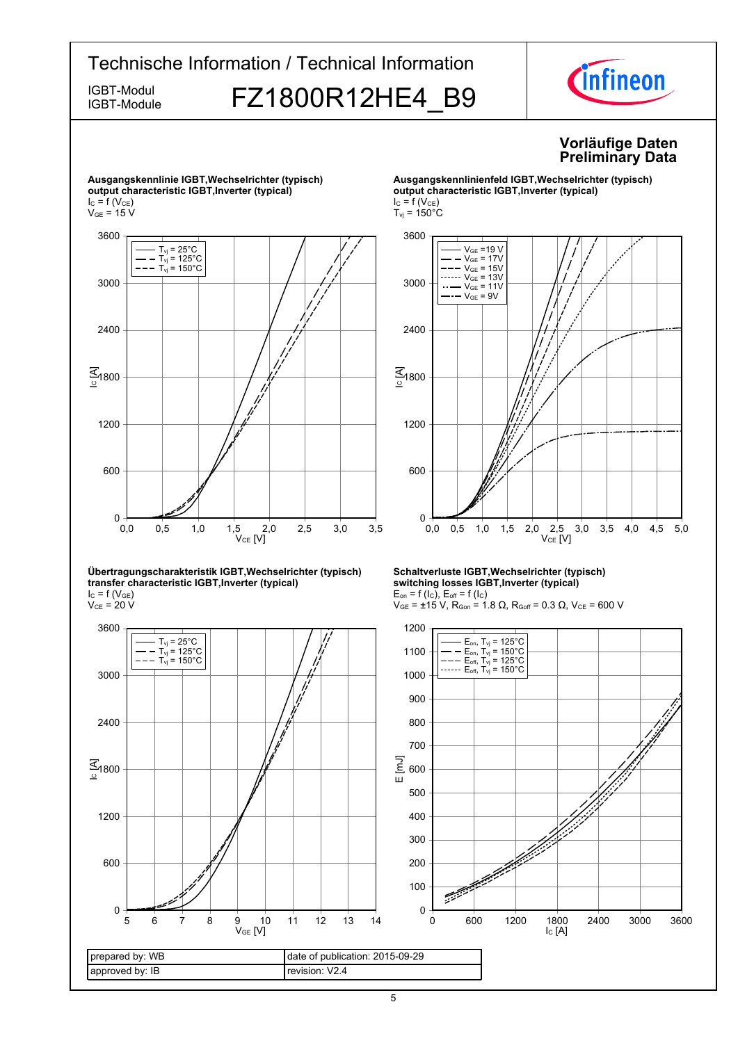

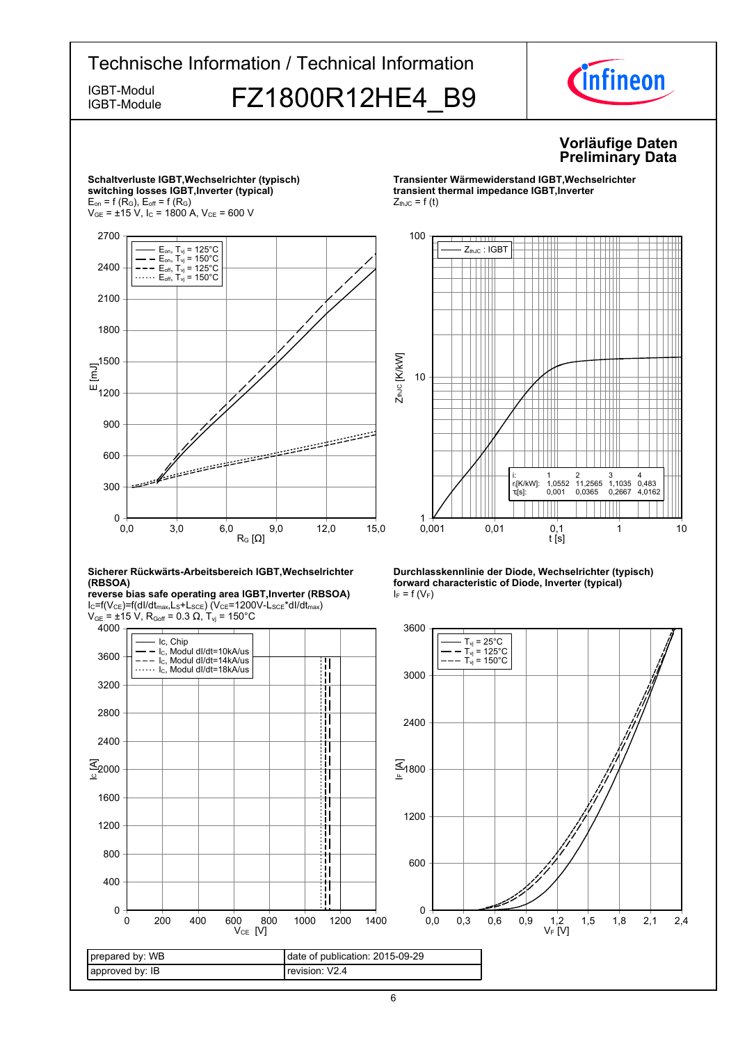



6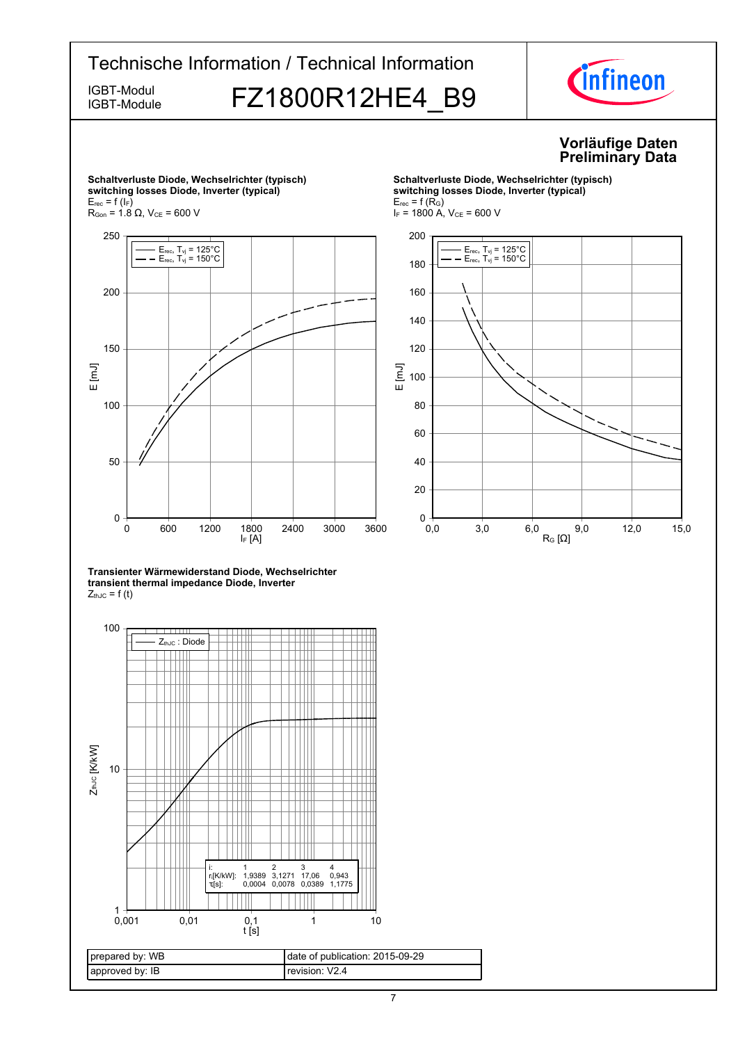

7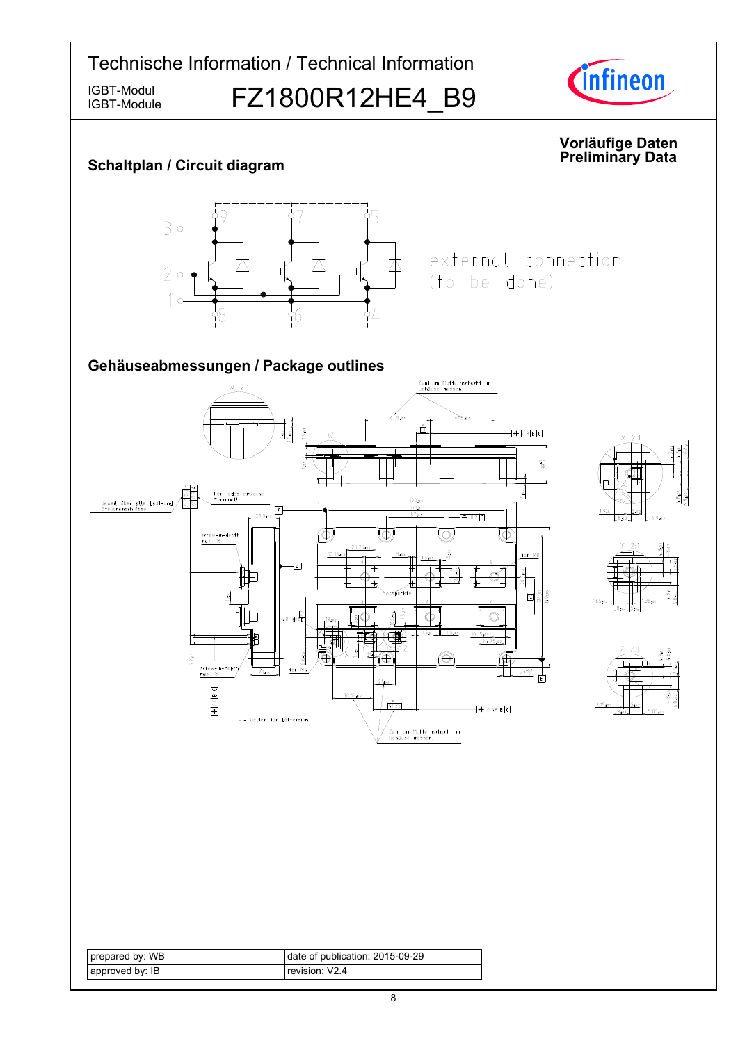